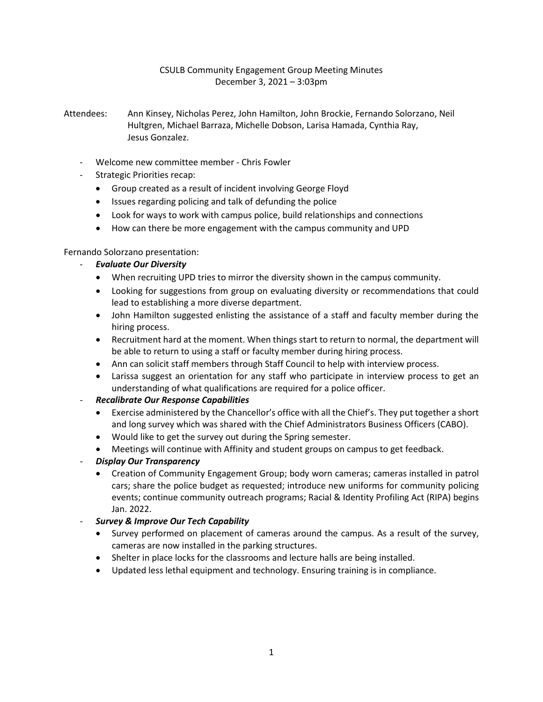# CSULB Community Engagement Group Meeting Minutes December 3, 2021 – 3:03pm

Attendees: Ann Kinsey, Nicholas Perez, John Hamilton, John Brockie, Fernando Solorzano, Neil Hultgren, Michael Barraza, Michelle Dobson, Larisa Hamada, Cynthia Ray, Jesus Gonzalez.

- Welcome new committee member Chris Fowler
- Strategic Priorities recap:
	- Group created as a result of incident involving George Floyd
	- Issues regarding policing and talk of defunding the police
	- Look for ways to work with campus police, build relationships and connections
	- How can there be more engagement with the campus community and UPD

## Fernando Solorzano presentation:

## - *Evaluate Our Diversity*

- When recruiting UPD tries to mirror the diversity shown in the campus community.
- Looking for suggestions from group on evaluating diversity or recommendations that could lead to establishing a more diverse department.
- John Hamilton suggested enlisting the assistance of a staff and faculty member during the hiring process.
- Recruitment hard at the moment. When things start to return to normal, the department will be able to return to using a staff or faculty member during hiring process.
- Ann can solicit staff members through Staff Council to help with interview process.
- Larissa suggest an orientation for any staff who participate in interview process to get an understanding of what qualifications are required for a police officer.

# - *Recalibrate Our Response Capabilities*

- Exercise administered by the Chancellor's office with all the Chief's. They put together a short and long survey which was shared with the Chief Administrators Business Officers (CABO).
- Would like to get the survey out during the Spring semester.
- Meetings will continue with Affinity and student groups on campus to get feedback.
- *Display Our Transparency*
	- Creation of Community Engagement Group; body worn cameras; cameras installed in patrol cars; share the police budget as requested; introduce new uniforms for community policing events; continue community outreach programs; Racial & Identity Profiling Act (RIPA) begins Jan. 2022.
- *Survey & Improve Our Tech Capability*
	- Survey performed on placement of cameras around the campus. As a result of the survey, cameras are now installed in the parking structures.
	- Shelter in place locks for the classrooms and lecture halls are being installed.
	- Updated less lethal equipment and technology. Ensuring training is in compliance.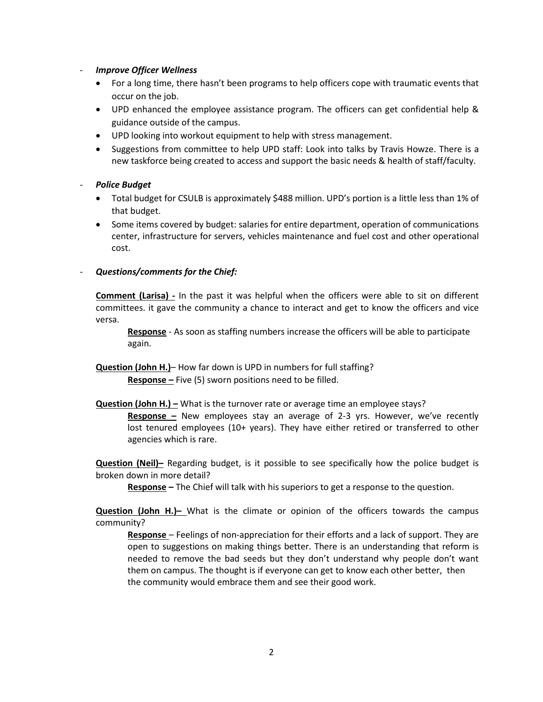#### - *Improve Officer Wellness*

- For a long time, there hasn't been programs to help officers cope with traumatic events that occur on the job.
- UPD enhanced the employee assistance program. The officers can get confidential help & guidance outside of the campus.
- UPD looking into workout equipment to help with stress management.
- Suggestions from committee to help UPD staff: Look into talks by Travis Howze. There is a new taskforce being created to access and support the basic needs & health of staff/faculty.

#### - *Police Budget*

- Total budget for CSULB is approximately \$488 million. UPD's portion is a little less than 1% of that budget.
- Some items covered by budget: salaries for entire department, operation of communications center, infrastructure for servers, vehicles maintenance and fuel cost and other operational cost.

## - *Questions/comments for the Chief:*

**Comment (Larisa) -** In the past it was helpful when the officers were able to sit on different committees. it gave the community a chance to interact and get to know the officers and vice versa.

 **Response** - As soon as staffing numbers increase the officers will be able to participate again.

- **Question (John H.)** How far down is UPD in numbers for full staffing? **Response –** Five (5) sworn positions need to be filled.
- **Question (John H.) –** What is the turnover rate or average time an employee stays?

**Response –** New employees stay an average of 2-3 yrs. However, we've recently lost tenured employees (10+ years). They have either retired or transferred to other agencies which is rare.

**Question (Neil)–** Regarding budget, is it possible to see specifically how the police budget is broken down in more detail?

**Response –** The Chief will talk with his superiors to get a response to the question.

**Question (John H.)–** What is the climate or opinion of the officers towards the campus community?

**Response** – Feelings of non-appreciation for their efforts and a lack of support. They are open to suggestions on making things better. There is an understanding that reform is needed to remove the bad seeds but they don't understand why people don't want them on campus. The thought is if everyone can get to know each other better, then the community would embrace them and see their good work.